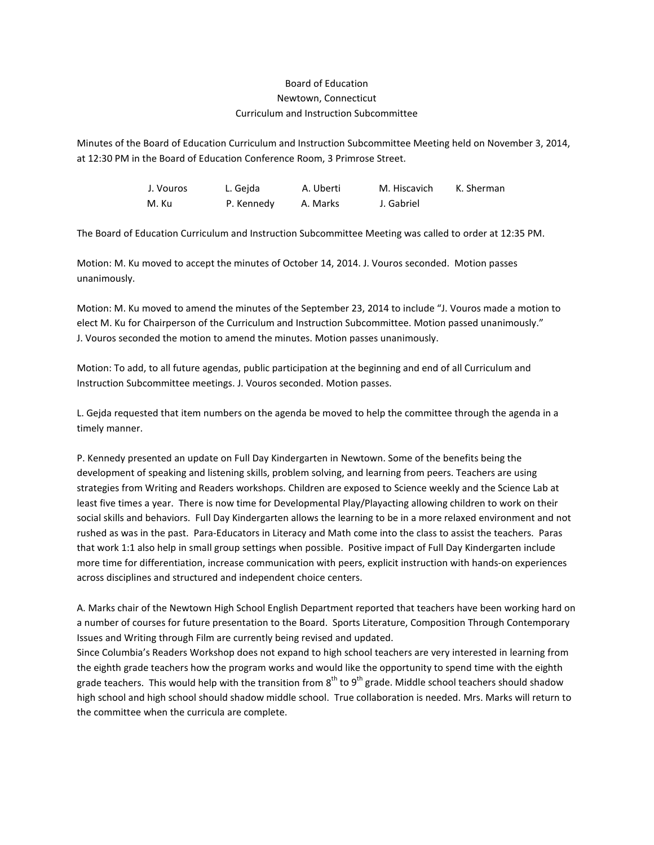## Board of Education Newtown, Connecticut Curriculum and Instruction Subcommittee

Minutes of the Board of Education Curriculum and Instruction Subcommittee Meeting held on November 3, 2014, at 12:30 PM in the Board of Education Conference Room, 3 Primrose Street.

> J. Vouros L. Gejda A. Uberti M. Hiscavich K. Sherman M. Ku P. Kennedy A. Marks J. Gabriel

The Board of Education Curriculum and Instruction Subcommittee Meeting was called to order at 12:35 PM.

Motion: M. Ku moved to accept the minutes of October 14, 2014. J. Vouros seconded. Motion passes unanimously.

Motion: M. Ku moved to amend the minutes of the September 23, 2014 to include "J. Vouros made a motion to elect M. Ku for Chairperson of the Curriculum and Instruction Subcommittee. Motion passed unanimously." J. Vouros seconded the motion to amend the minutes. Motion passes unanimously.

Motion: To add, to all future agendas, public participation at the beginning and end of all Curriculum and Instruction Subcommittee meetings. J. Vouros seconded. Motion passes.

L. Gejda requested that item numbers on the agenda be moved to help the committee through the agenda in a timely manner.

P. Kennedy presented an update on Full Day Kindergarten in Newtown. Some of the benefits being the development of speaking and listening skills, problem solving, and learning from peers. Teachers are using strategies from Writing and Readers workshops. Children are exposed to Science weekly and the Science Lab at least five times a year. There is now time for Developmental Play/Playacting allowing children to work on their social skills and behaviors. Full Day Kindergarten allows the learning to be in a more relaxed environment and not rushed as was in the past. Para-Educators in Literacy and Math come into the class to assist the teachers. Paras that work 1:1 also help in small group settings when possible. Positive impact of Full Day Kindergarten include more time for differentiation, increase communication with peers, explicit instruction with hands-on experiences across disciplines and structured and independent choice centers.

A. Marks chair of the Newtown High School English Department reported that teachers have been working hard on a number of courses for future presentation to the Board. Sports Literature, Composition Through Contemporary Issues and Writing through Film are currently being revised and updated.

Since Columbia's Readers Workshop does not expand to high school teachers are very interested in learning from the eighth grade teachers how the program works and would like the opportunity to spend time with the eighth grade teachers. This would help with the transition from  $8^{th}$  to  $9^{th}$  grade. Middle school teachers should shadow high school and high school should shadow middle school. True collaboration is needed. Mrs. Marks will return to the committee when the curricula are complete.